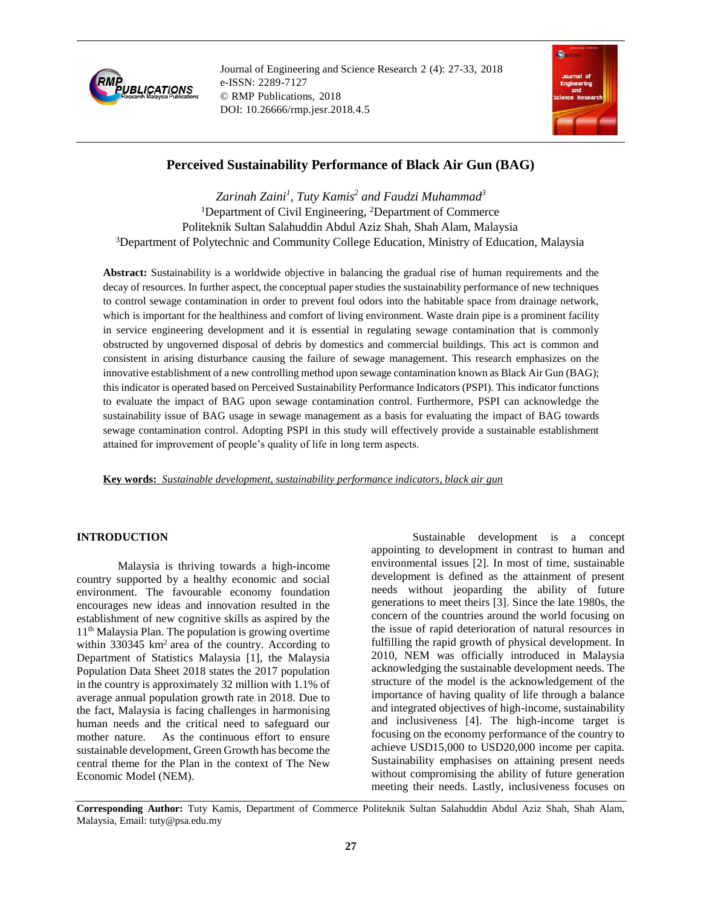

Journal of Engineering and Science Research 2 (4): 27-33, 2018 e-ISSN: 2289-7127 © RMP Publications, 2018 DOI: 10.26666/rmp.jesr.2018.4.5



# **Perceived Sustainability Performance of Black Air Gun (BAG)**

*Zarinah Zaini<sup>1</sup> , Tuty Kamis<sup>2</sup> and Faudzi Muhammad<sup>3</sup>* <sup>1</sup>Department of Civil Engineering, <sup>2</sup>Department of Commerce Politeknik Sultan Salahuddin Abdul Aziz Shah, Shah Alam, Malaysia <sup>3</sup>Department of Polytechnic and Community College Education, Ministry of Education, Malaysia

**Abstract:** Sustainability is a worldwide objective in balancing the gradual rise of human requirements and the decay of resources. In further aspect, the conceptual paper studies the sustainability performance of new techniques to control sewage contamination in order to prevent foul odors into the habitable space from drainage network, which is important for the healthiness and comfort of living environment. Waste drain pipe is a prominent facility in service engineering development and it is essential in regulating sewage contamination that is commonly obstructed by ungoverned disposal of debris by domestics and commercial buildings. This act is common and consistent in arising disturbance causing the failure of sewage management. This research emphasizes on the innovative establishment of a new controlling method upon sewage contamination known as Black Air Gun (BAG); this indicator is operated based on Perceived Sustainability Performance Indicators (PSPI). This indicator functions to evaluate the impact of BAG upon sewage contamination control. Furthermore, PSPI can acknowledge the sustainability issue of BAG usage in sewage management as a basis for evaluating the impact of BAG towards sewage contamination control. Adopting PSPI in this study will effectively provide a sustainable establishment attained for improvement of people's quality of life in long term aspects.

**Key words:** *Sustainable development, sustainability performance indicators, black air gun*

## **INTRODUCTION**

Malaysia is thriving towards a high-income country supported by a healthy economic and social environment. The favourable economy foundation encourages new ideas and innovation resulted in the establishment of new cognitive skills as aspired by the 11th Malaysia Plan. The population is growing overtime within  $330345 \text{ km}^2$  area of the country. According to Department of Statistics Malaysia [1], the Malaysia Population Data Sheet 2018 states the 2017 population in the country is approximately 32 million with 1.1% of average annual population growth rate in 2018. Due to the fact, Malaysia is facing challenges in harmonising human needs and the critical need to safeguard our mother nature. As the continuous effort to ensure sustainable development, Green Growth has become the central theme for the Plan in the context of The New Economic Model (NEM).

Sustainable development is a concept appointing to development in contrast to human and environmental issues [2]. In most of time, sustainable development is defined as the attainment of present needs without jeoparding the ability of future generations to meet theirs [3]. Since the late 1980s, the concern of the countries around the world focusing on the issue of rapid deterioration of natural resources in fulfilling the rapid growth of physical development. In 2010, NEM was officially introduced in Malaysia acknowledging the sustainable development needs. The structure of the model is the acknowledgement of the importance of having quality of life through a balance and integrated objectives of high-income, sustainability and inclusiveness [4]. The high-income target is focusing on the economy performance of the country to achieve USD15,000 to USD20,000 income per capita. Sustainability emphasises on attaining present needs without compromising the ability of future generation meeting their needs. Lastly, inclusiveness focuses on

**Corresponding Author:** Tuty Kamis, Department of Commerce Politeknik Sultan Salahuddin Abdul Aziz Shah, Shah Alam, Malaysia, Email: tuty@psa.edu.my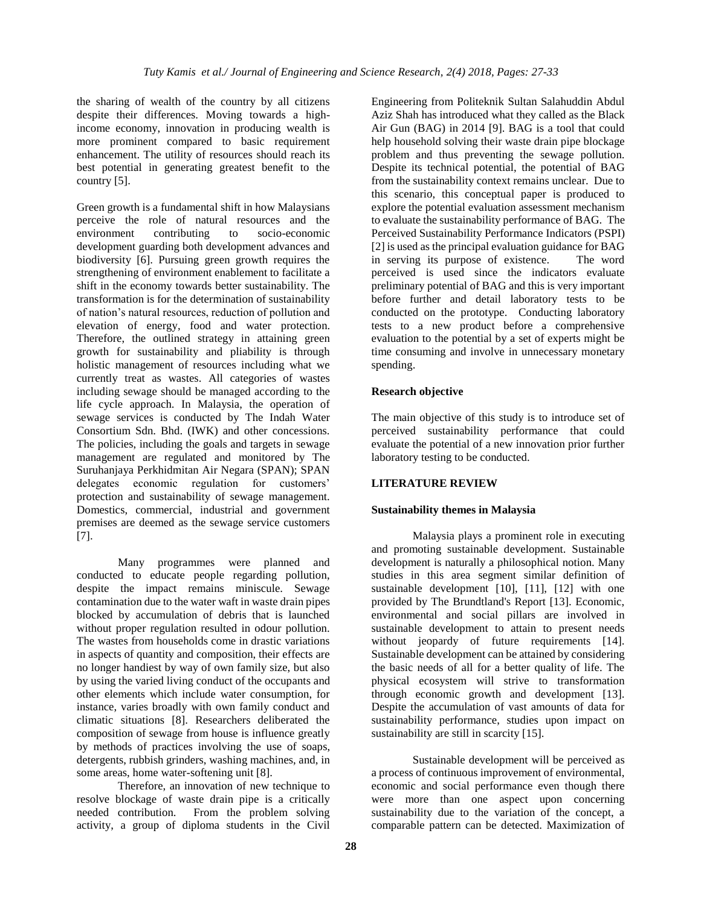the sharing of wealth of the country by all citizens despite their differences. Moving towards a highincome economy, innovation in producing wealth is more prominent compared to basic requirement enhancement. The utility of resources should reach its best potential in generating greatest benefit to the country [5].

Green growth is a fundamental shift in how Malaysians perceive the role of natural resources and the environment contributing to socio-economic development guarding both development advances and biodiversity [6]. Pursuing green growth requires the strengthening of environment enablement to facilitate a shift in the economy towards better sustainability. The transformation is for the determination of sustainability of nation's natural resources, reduction of pollution and elevation of energy, food and water protection. Therefore, the outlined strategy in attaining green growth for sustainability and pliability is through holistic management of resources including what we currently treat as wastes. All categories of wastes including sewage should be managed according to the life cycle approach. In Malaysia, the operation of sewage services is conducted by The Indah Water Consortium Sdn. Bhd. (IWK) and other concessions. The policies, including the goals and targets in sewage management are regulated and monitored by The Suruhanjaya Perkhidmitan Air Negara (SPAN); SPAN delegates economic regulation for customers' protection and sustainability of sewage management. Domestics, commercial, industrial and government premises are deemed as the sewage service customers [7].

Many programmes were planned and conducted to educate people regarding pollution, despite the impact remains miniscule. Sewage contamination due to the water waft in waste drain pipes blocked by accumulation of debris that is launched without proper regulation resulted in odour pollution. The wastes from households come in drastic variations in aspects of quantity and composition, their effects are no longer handiest by way of own family size, but also by using the varied living conduct of the occupants and other elements which include water consumption, for instance, varies broadly with own family conduct and climatic situations [8]. Researchers deliberated the composition of sewage from house is influence greatly by methods of practices involving the use of soaps, detergents, rubbish grinders, washing machines, and, in some areas, home water-softening unit [8].

Therefore, an innovation of new technique to resolve blockage of waste drain pipe is a critically needed contribution. From the problem solving activity, a group of diploma students in the Civil

Engineering from Politeknik Sultan Salahuddin Abdul Aziz Shah has introduced what they called as the Black Air Gun (BAG) in 2014 [9]. BAG is a tool that could help household solving their waste drain pipe blockage problem and thus preventing the sewage pollution. Despite its technical potential, the potential of BAG from the sustainability context remains unclear. Due to this scenario, this conceptual paper is produced to explore the potential evaluation assessment mechanism to evaluate the sustainability performance of BAG. The Perceived Sustainability Performance Indicators (PSPI) [2] is used as the principal evaluation guidance for BAG in serving its purpose of existence. The word perceived is used since the indicators evaluate preliminary potential of BAG and this is very important before further and detail laboratory tests to be conducted on the prototype. Conducting laboratory tests to a new product before a comprehensive evaluation to the potential by a set of experts might be time consuming and involve in unnecessary monetary spending.

### **Research objective**

The main objective of this study is to introduce set of perceived sustainability performance that could evaluate the potential of a new innovation prior further laboratory testing to be conducted.

### **LITERATURE REVIEW**

### **Sustainability themes in Malaysia**

Malaysia plays a prominent role in executing and promoting sustainable development. Sustainable development is naturally a philosophical notion. Many studies in this area segment similar definition of sustainable development [10], [11], [12] with one provided by The Brundtland's Report [13]. Economic, environmental and social pillars are involved in sustainable development to attain to present needs without jeopardy of future requirements [14]. Sustainable development can be attained by considering the basic needs of all for a better quality of life. The physical ecosystem will strive to transformation through economic growth and development [13]. Despite the accumulation of vast amounts of data for sustainability performance, studies upon impact on sustainability are still in scarcity [15].

Sustainable development will be perceived as a process of continuous improvement of environmental, economic and social performance even though there were more than one aspect upon concerning sustainability due to the variation of the concept, a comparable pattern can be detected. Maximization of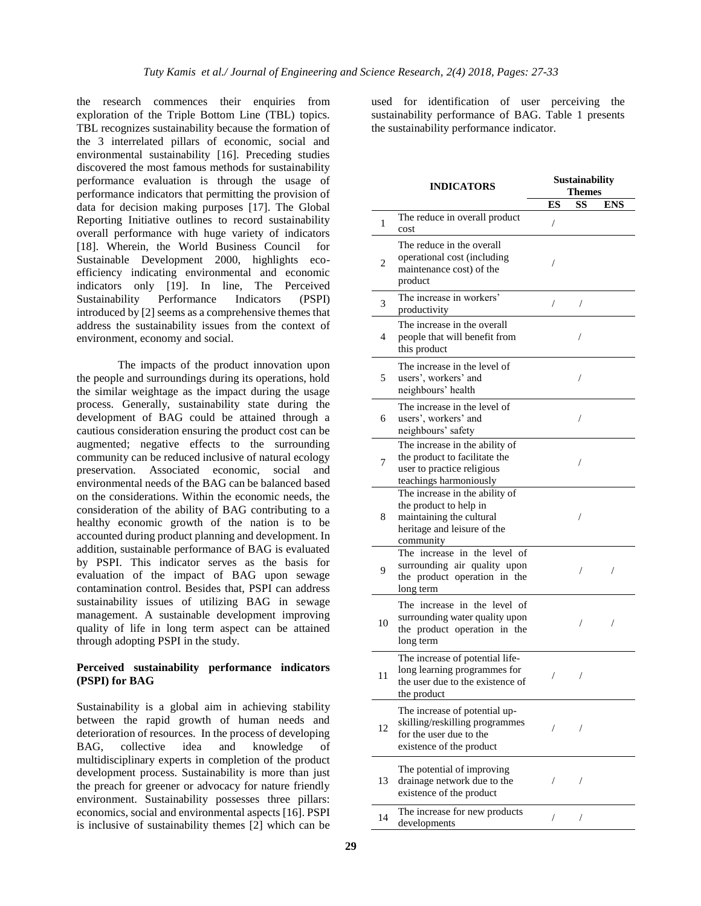the research commences their enquiries from exploration of the Triple Bottom Line (TBL) topics. TBL recognizes sustainability because the formation of the 3 interrelated pillars of economic, social and environmental sustainability [16]. Preceding studies discovered the most famous methods for sustainability performance evaluation is through the usage of performance indicators that permitting the provision of data for decision making purposes [17]. The Global Reporting Initiative outlines to record sustainability overall performance with huge variety of indicators [18]. Wherein, the World Business Council for Sustainable Development 2000, highlights ecoefficiency indicating environmental and economic indicators only [19]. In line, The Perceived Sustainability Performance Indicators (PSPI) introduced by [2] seems as a comprehensive themes that address the sustainability issues from the context of environment, economy and social.

The impacts of the product innovation upon the people and surroundings during its operations, hold the similar weightage as the impact during the usage process. Generally, sustainability state during the development of BAG could be attained through a cautious consideration ensuring the product cost can be augmented; negative effects to the surrounding community can be reduced inclusive of natural ecology preservation. Associated economic, social and environmental needs of the BAG can be balanced based on the considerations. Within the economic needs, the consideration of the ability of BAG contributing to a healthy economic growth of the nation is to be accounted during product planning and development. In addition, sustainable performance of BAG is evaluated by PSPI. This indicator serves as the basis for evaluation of the impact of BAG upon sewage contamination control. Besides that, PSPI can address sustainability issues of utilizing BAG in sewage management. A sustainable development improving quality of life in long term aspect can be attained through adopting PSPI in the study.

# **Perceived sustainability performance indicators (PSPI) for BAG**

Sustainability is a global aim in achieving stability between the rapid growth of human needs and deterioration of resources. In the process of developing BAG, collective idea and knowledge of multidisciplinary experts in completion of the product development process. Sustainability is more than just the preach for greener or advocacy for nature friendly environment. Sustainability possesses three pillars: economics, social and environmental aspects [16]. PSPI is inclusive of sustainability themes [2] which can be

used for identification of user perceiving the sustainability performance of BAG. Table 1 presents the sustainability performance indicator.

|                | <b>INDICATORS</b>                                                                                                                |    | Sustainability<br><b>Themes</b> |            |  |  |
|----------------|----------------------------------------------------------------------------------------------------------------------------------|----|---------------------------------|------------|--|--|
|                |                                                                                                                                  | ES | <b>SS</b>                       | <b>ENS</b> |  |  |
| 1              | The reduce in overall product<br>cost                                                                                            | T  |                                 |            |  |  |
| $\overline{c}$ | The reduce in the overall<br>operational cost (including<br>maintenance cost) of the<br>product                                  | /  |                                 |            |  |  |
| 3              | The increase in workers'<br>productivity                                                                                         | /  | $\sqrt{2}$                      |            |  |  |
| 4              | The increase in the overall<br>people that will benefit from<br>this product                                                     |    |                                 |            |  |  |
| 5              | The increase in the level of<br>users', workers' and<br>neighbours' health                                                       |    |                                 |            |  |  |
| 6              | The increase in the level of<br>users', workers' and<br>neighbours' safety                                                       |    | 7                               |            |  |  |
| 7              | The increase in the ability of<br>the product to facilitate the<br>user to practice religious<br>teachings harmoniously          |    | /                               |            |  |  |
| 8              | The increase in the ability of<br>the product to help in<br>maintaining the cultural<br>heritage and leisure of the<br>community |    | 7                               |            |  |  |
| 9              | The increase in the level of<br>surrounding air quality upon<br>the product operation in the<br>long term                        |    | 7                               | 7          |  |  |
| 10             | The increase in the level of<br>surrounding water quality upon<br>the product operation in the<br>long term                      |    |                                 | 7          |  |  |
| 11             | The increase of potential life-<br>long learning programmes for<br>the user due to the existence of<br>the product               | /  | 7                               |            |  |  |
| 12             | The increase of potential up-<br>skilling/reskilling programmes<br>for the user due to the<br>existence of the product           | /  | $\sqrt{2}$                      |            |  |  |
| 13             | The potential of improving<br>drainage network due to the<br>existence of the product                                            | /  | 7                               |            |  |  |
| 14             | The increase for new products<br>developments                                                                                    | Т  | Т                               |            |  |  |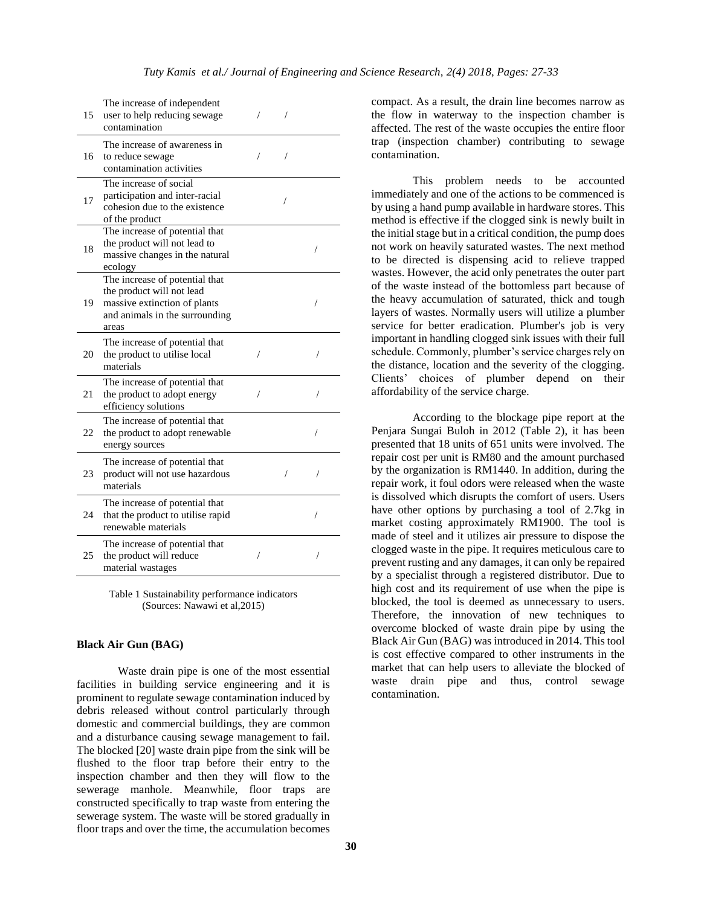| 15 | The increase of independent<br>user to help reducing sewage<br>contamination                                                           | / | T |   |
|----|----------------------------------------------------------------------------------------------------------------------------------------|---|---|---|
| 16 | The increase of awareness in<br>to reduce sewage<br>contamination activities                                                           | 7 | 7 |   |
| 17 | The increase of social<br>participation and inter-racial<br>cohesion due to the existence<br>of the product                            |   | 7 |   |
| 18 | The increase of potential that<br>the product will not lead to<br>massive changes in the natural<br>ecology                            |   |   | / |
| 19 | The increase of potential that<br>the product will not lead<br>massive extinction of plants<br>and animals in the surrounding<br>areas |   |   | 7 |
| 20 | The increase of potential that<br>the product to utilise local<br>materials                                                            | 7 |   | 1 |
| 21 | The increase of potential that<br>the product to adopt energy<br>efficiency solutions                                                  | / |   | 7 |
| 22 | The increase of potential that<br>the product to adopt renewable<br>energy sources                                                     |   |   | / |
| 23 | The increase of potential that<br>product will not use hazardous<br>materials                                                          |   |   |   |
| 24 | The increase of potential that<br>that the product to utilise rapid<br>renewable materials                                             |   |   | / |
| 25 | The increase of potential that<br>the product will reduce<br>material wastages                                                         | / |   |   |

Table 1 Sustainability performance indicators (Sources: Nawawi et al,2015)

#### **Black Air Gun (BAG)**

Waste drain pipe is one of the most essential facilities in building service engineering and it is prominent to regulate sewage contamination induced by debris released without control particularly through domestic and commercial buildings, they are common and a disturbance causing sewage management to fail. The blocked [20] waste drain pipe from the sink will be flushed to the floor trap before their entry to the inspection chamber and then they will flow to the sewerage manhole. Meanwhile, floor traps are constructed specifically to trap waste from entering the sewerage system. The waste will be stored gradually in floor traps and over the time, the accumulation becomes

compact. As a result, the drain line becomes narrow as the flow in waterway to the inspection chamber is affected. The rest of the waste occupies the entire floor trap (inspection chamber) contributing to sewage contamination.

This problem needs to be accounted immediately and one of the actions to be commenced is by using a hand pump available in hardware stores. This method is effective if the clogged sink is newly built in the initial stage but in a critical condition, the pump does not work on heavily saturated wastes. The next method to be directed is dispensing acid to relieve trapped wastes. However, the acid only penetrates the outer part of the waste instead of the bottomless part because of the heavy accumulation of saturated, thick and tough layers of wastes. Normally users will utilize a plumber service for better eradication. Plumber's job is very important in handling clogged sink issues with their full schedule. Commonly, plumber's service charges rely on the distance, location and the severity of the clogging. Clients' choices of plumber depend on their affordability of the service charge.

According to the blockage pipe report at the Penjara Sungai Buloh in 2012 (Table 2), it has been presented that 18 units of 651 units were involved. The repair cost per unit is RM80 and the amount purchased by the organization is RM1440. In addition, during the repair work, it foul odors were released when the waste is dissolved which disrupts the comfort of users. Users have other options by purchasing a tool of 2.7kg in market costing approximately RM1900. The tool is made of steel and it utilizes air pressure to dispose the clogged waste in the pipe. It requires meticulous care to prevent rusting and any damages, it can only be repaired by a specialist through a registered distributor. Due to high cost and its requirement of use when the pipe is blocked, the tool is deemed as unnecessary to users. Therefore, the innovation of new techniques to overcome blocked of waste drain pipe by using the Black Air Gun (BAG) was introduced in 2014. This tool is cost effective compared to other instruments in the market that can help users to alleviate the blocked of waste drain pipe and thus, control sewage contamination.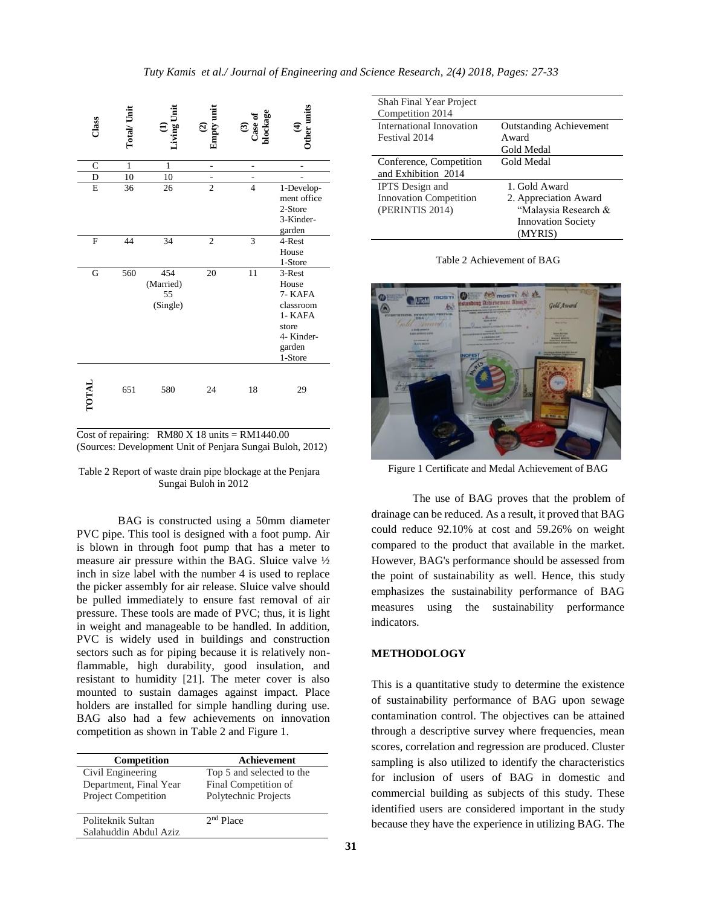| Class          | <b>Total/Unit</b> | <b>Living Unit</b>                 | Empty unit<br>$\mathfrak{S}$ | $\frac{(3)}{\text{Case of}}$ | Other units<br>Ā                                                                               |
|----------------|-------------------|------------------------------------|------------------------------|------------------------------|------------------------------------------------------------------------------------------------|
| $\mathsf{C}$   | 1                 | $\mathbf{1}$                       | L,                           | -                            | L                                                                                              |
| D              | 10                | 10                                 |                              |                              |                                                                                                |
| E              | 36                | 26                                 | $\overline{c}$               | $\overline{4}$               | 1-Develop-<br>ment office<br>2-Store<br>3-Kinder-<br>garden                                    |
| $\overline{F}$ | 44                | 34                                 | $\mathfrak{2}$               | 3                            | 4-Rest<br>House<br>1-Store                                                                     |
| G              | 560               | 454<br>(Married)<br>55<br>(Single) | 20                           | 11                           | 3-Rest<br>House<br>7- KAFA<br>classroom<br>1- KAFA<br>store<br>4- Kinder-<br>garden<br>1-Store |
| TOTAL          | 651               | 580                                | 24                           | 18                           | 29                                                                                             |

Cost of repairing: RM80 X 18 units  $=$  RM1440.00 (Sources: Development Unit of Penjara Sungai Buloh, 2012)

### Table 2 Report of waste drain pipe blockage at the Penjara Sungai Buloh in 2012

BAG is constructed using a 50mm diameter PVC pipe. This tool is designed with a foot pump. Air is blown in through foot pump that has a meter to measure air pressure within the BAG. Sluice valve ½ inch in size label with the number 4 is used to replace the picker assembly for air release. Sluice valve should be pulled immediately to ensure fast removal of air pressure. These tools are made of PVC; thus, it is light in weight and manageable to be handled. In addition, PVC is widely used in buildings and construction sectors such as for piping because it is relatively nonflammable, high durability, good insulation, and resistant to humidity [21]. The meter cover is also mounted to sustain damages against impact. Place holders are installed for simple handling during use. BAG also had a few achievements on innovation competition as shown in Table 2 and Figure 1.

| Competition                                 | Achievement                                       |
|---------------------------------------------|---------------------------------------------------|
| Civil Engineering<br>Department, Final Year | Top 5 and selected to the<br>Final Competition of |
| <b>Project Competition</b>                  | Polytechnic Projects                              |
| Politeknik Sultan<br>Salahuddin Abdul Aziz  | $2nd$ Place                                       |

| Shah Final Year Project       |                                |
|-------------------------------|--------------------------------|
| Competition 2014              |                                |
| International Innovation      | <b>Outstanding Achievement</b> |
| Festival 2014                 | Award                          |
|                               | Gold Medal                     |
| Conference, Competition       | Gold Medal                     |
| and Exhibition 2014           |                                |
| <b>IPTS</b> Design and        | 1. Gold Award                  |
| <b>Innovation Competition</b> | 2. Appreciation Award          |
| (PERINTIS 2014)               | "Malaysia Research &           |
|                               | <b>Innovation Society</b>      |
|                               | (MYRIS)                        |

Table 2 Achievement of BAG



Figure 1 Certificate and Medal Achievement of BAG

The use of BAG proves that the problem of drainage can be reduced. As a result, it proved that BAG could reduce 92.10% at cost and 59.26% on weight compared to the product that available in the market. However, BAG's performance should be assessed from the point of sustainability as well. Hence, this study emphasizes the sustainability performance of BAG measures using the sustainability performance indicators.

## **METHODOLOGY**

This is a quantitative study to determine the existence of sustainability performance of BAG upon sewage contamination control. The objectives can be attained through a descriptive survey where frequencies, mean scores, correlation and regression are produced. Cluster sampling is also utilized to identify the characteristics for inclusion of users of BAG in domestic and commercial building as subjects of this study. These identified users are considered important in the study because they have the experience in utilizing BAG. The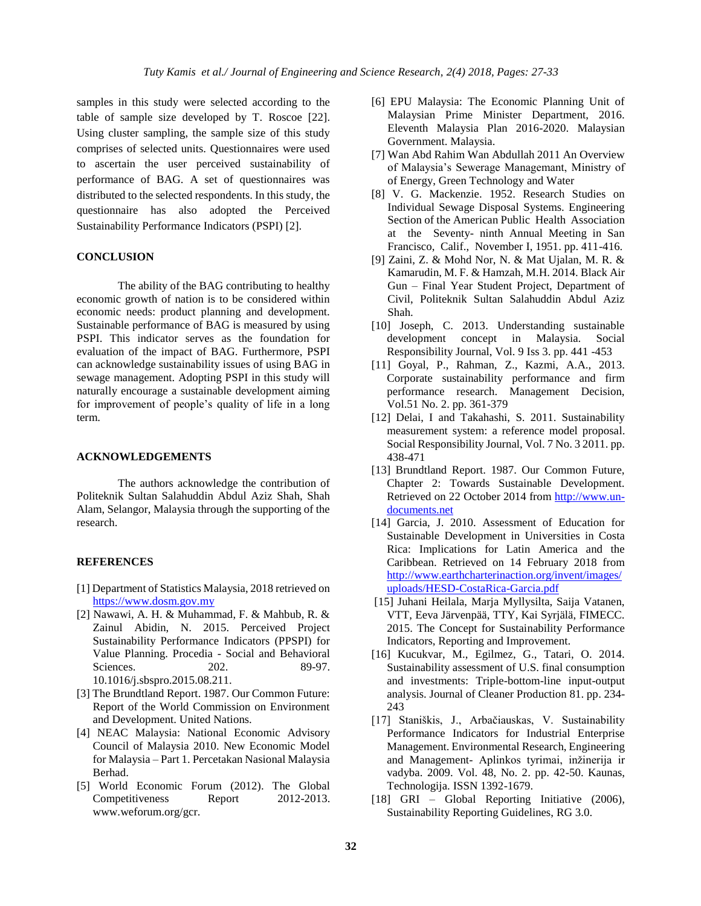samples in this study were selected according to the table of sample size developed by T. Roscoe [22]. Using cluster sampling, the sample size of this study comprises of selected units. Questionnaires were used to ascertain the user perceived sustainability of performance of BAG. A set of questionnaires was distributed to the selected respondents. In this study, the questionnaire has also adopted the Perceived Sustainability Performance Indicators (PSPI) [2].

# **CONCLUSION**

The ability of the BAG contributing to healthy economic growth of nation is to be considered within economic needs: product planning and development. Sustainable performance of BAG is measured by using PSPI. This indicator serves as the foundation for evaluation of the impact of BAG. Furthermore, PSPI can acknowledge sustainability issues of using BAG in sewage management. Adopting PSPI in this study will naturally encourage a sustainable development aiming for improvement of people's quality of life in a long term.

### **ACKNOWLEDGEMENTS**

The authors acknowledge the contribution of Politeknik Sultan Salahuddin Abdul Aziz Shah, Shah Alam, Selangor, Malaysia through the supporting of the research.

### **REFERENCES**

- [1] Department of Statistics Malaysia, 2018 retrieved on [https://www.dosm.gov.my](https://www.dosm.gov.my/)
- [2] Nawawi, A. H. & Muhammad, F. & Mahbub, R. & Zainul Abidin, N. 2015. Perceived Project Sustainability Performance Indicators (PPSPI) for Value Planning. Procedia - Social and Behavioral Sciences. 202. 89-97. 10.1016/j.sbspro.2015.08.211.
- [3] The Brundtland Report. 1987. Our Common Future: Report of the World Commission on Environment and Development. United Nations.
- [4] NEAC Malaysia: National Economic Advisory Council of Malaysia 2010. New Economic Model for Malaysia – Part 1. Percetakan Nasional Malaysia Berhad.
- [5] World Economic Forum (2012). The Global Competitiveness Report 2012-2013. www.weforum.org/gcr.
- [6] EPU Malaysia: The Economic Planning Unit of Malaysian Prime Minister Department, 2016. Eleventh Malaysia Plan 2016-2020. Malaysian Government. Malaysia.
- [7] Wan Abd Rahim Wan Abdullah 2011 An Overview of Malaysia's Sewerage Managemant, Ministry of of Energy, Green Technology and Water
- [8] V. G. Mackenzie. 1952. Research Studies on Individual Sewage Disposal Systems. Engineering Section of the American Public Health Association at the Seventy- ninth Annual Meeting in San Francisco, Calif., November I, 1951. pp. 411-416.
- [9] Zaini, Z. & Mohd Nor, N. & Mat Ujalan, M. R. & Kamarudin, M. F. & Hamzah, M.H. 2014. Black Air Gun – Final Year Student Project, Department of Civil, Politeknik Sultan Salahuddin Abdul Aziz Shah.
- [10] Joseph, C. 2013. Understanding sustainable development concept in Malaysia. Social Responsibility Journal, Vol. 9 Iss 3. pp. 441 -453
- [11] Goyal, P., Rahman, Z., Kazmi, A.A., 2013. Corporate sustainability performance and firm performance research. Management Decision, Vol.51 No. 2. pp. 361-379
- [12] Delai, I and Takahashi, S. 2011. Sustainability measurement system: a reference model proposal. Social Responsibility Journal, Vol. 7 No. 3 2011. pp. 438-471
- [13] Brundtland Report. 1987. Our Common Future, Chapter 2: Towards Sustainable Development. Retrieved on 22 October 2014 from [http://www.un](http://www.un-documents.net/)[documents.net](http://www.un-documents.net/)
- [14] Garcia, J. 2010. Assessment of Education for Sustainable Development in Universities in Costa Rica: Implications for Latin America and the Caribbean. Retrieved on 14 February 2018 from [http://www.earthcharterinaction.org/invent/images/](http://www.earthcharterinaction.org/invent/images/uploads/HESD-CostaRica-Garcia.pdf) [uploads/HESD-CostaRica-Garcia.pdf](http://www.earthcharterinaction.org/invent/images/uploads/HESD-CostaRica-Garcia.pdf)
- [15] Juhani Heilala, Marja Myllysilta, Saija Vatanen, VTT, Eeva Järvenpää, TTY, Kai Syrjälä, FIMECC. 2015. The Concept for Sustainability Performance Indicators, Reporting and Improvement.
- [16] Kucukvar, M., Egilmez, G., Tatari, O. 2014. Sustainability assessment of U.S. final consumption and investments: Triple-bottom-line input-output analysis. Journal of Cleaner Production 81. pp. 234- 243
- [17] Staniškis, J., Arbačiauskas, V. Sustainability Performance Indicators for Industrial Enterprise Management. Environmental Research, Engineering and Management- Aplinkos tyrimai, inžinerija ir vadyba. 2009. Vol. 48, No. 2. pp. 42-50. Kaunas, Technologija. ISSN 1392-1679.
- [18] GRI Global Reporting Initiative (2006), Sustainability Reporting Guidelines, RG 3.0.